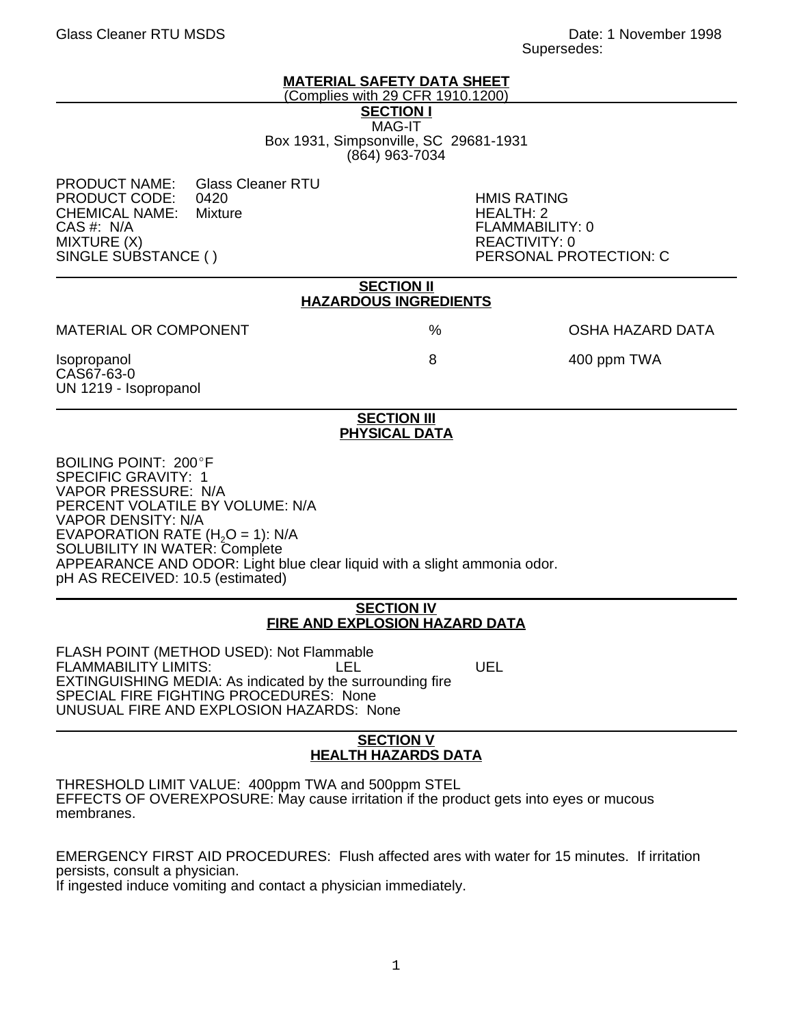# **MATERIAL SAFETY DATA SHEET**

(Complies with 29 CFR 1910.1200)

**SECTION I**

MAG-IT Box 1931, Simpsonville, SC 29681-1931 (864) 963-7034

PRODUCT NAME: Glass Cleaner RTU<br>PRODUCT CODE: 0420 PRODUCT CODE: 0420 HMIS RATING<br>CHEMICAL NAME: Mixture CHEMICAL HEALTH: 2 CHEMICAL NAME:<br>CAS #: N/A CAS #: N/A FLAMMABILITY: 0 MIXTURE (X)<br>SINGLE SUBSTANCE ( ) PERSONAL PR

PERSONAL PROTECTION: C

| <b>SECTION II</b><br><b>HAZARDOUS INGREDIENTS</b>  |                                            |                         |
|----------------------------------------------------|--------------------------------------------|-------------------------|
| <b>MATERIAL OR COMPONENT</b>                       | %                                          | <b>OSHA HAZARD DATA</b> |
| Isopropanol<br>CAS67-63-0<br>UN 1219 - Isopropanol | 8                                          | 400 ppm TWA             |
|                                                    | <b>SECTION III</b><br><b>PHYSICAL DATA</b> |                         |

### BOILING POINT: 200°F SPECIFIC GRAVITY: 1 VAPOR PRESSURE: N/A PERCENT VOLATILE BY VOLUME: N/A VAPOR DENSITY: N/A EVAPORATION RATE  $(H<sub>2</sub>O = 1)$ : N/A SOLUBILITY IN WATER: Complete APPEARANCE AND ODOR: Light blue clear liquid with a slight ammonia odor.

pH AS RECEIVED: 10.5 (estimated)

# **SECTION IV FIRE AND EXPLOSION HAZARD DATA**

FLASH POINT (METHOD USED): Not Flammable FLAMMABILITY LIMITS: LEL LEL UEL EXTINGUISHING MEDIA: As indicated by the surrounding fire SPECIAL FIRE FIGHTING PROCEDURES: None UNUSUAL FIRE AND EXPLOSION HAZARDS: None

#### **SECTION V HEALTH HAZARDS DATA**

THRESHOLD LIMIT VALUE: 400ppm TWA and 500ppm STEL EFFECTS OF OVEREXPOSURE: May cause irritation if the product gets into eyes or mucous membranes.

EMERGENCY FIRST AID PROCEDURES: Flush affected ares with water for 15 minutes. If irritation persists, consult a physician. If ingested induce vomiting and contact a physician immediately.